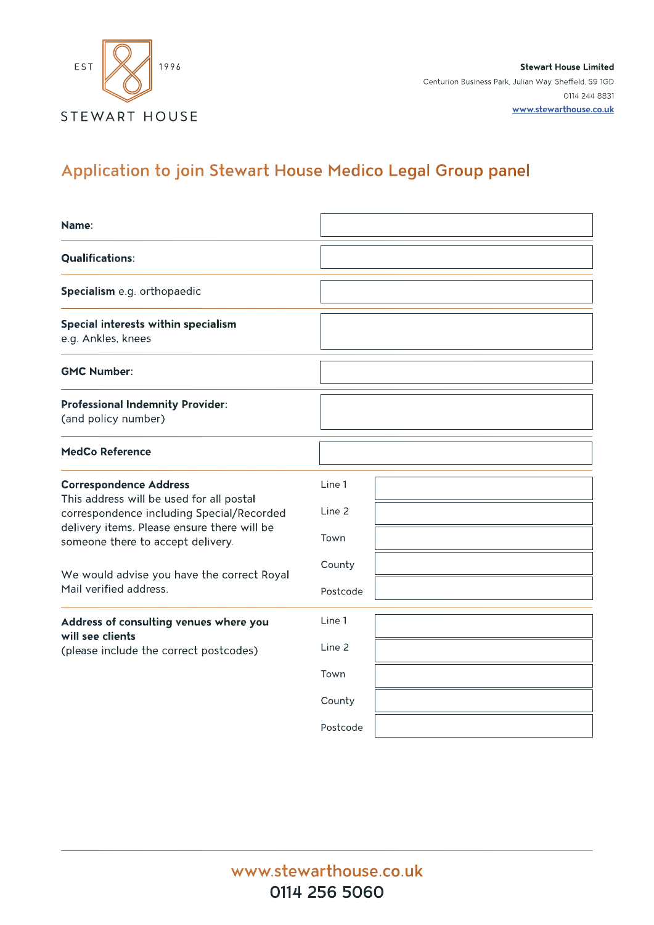

**Stewart House Limited** Centurion Business Park, Julian Way, Sheffield, S9 1GD 0114 244 8831 **www.stewarthouse.co.uk**

# Application to join Stewart House Medico Legal Group panel

| Name:                                                                                                                                                                                                      |                          |  |
|------------------------------------------------------------------------------------------------------------------------------------------------------------------------------------------------------------|--------------------------|--|
| <b>Qualifications:</b>                                                                                                                                                                                     |                          |  |
| Specialism e.g. orthopaedic                                                                                                                                                                                |                          |  |
| Special interests within specialism<br>e.g. Ankles, knees                                                                                                                                                  |                          |  |
| <b>GMC Number:</b>                                                                                                                                                                                         |                          |  |
| <b>Professional Indemnity Provider:</b><br>(and policy number)                                                                                                                                             |                          |  |
| <b>MedCo Reference</b>                                                                                                                                                                                     |                          |  |
| <b>Correspondence Address</b><br>This address will be used for all postal<br>correspondence including Special/Recorded<br>delivery items. Please ensure there will be<br>someone there to accept delivery. | Line 1<br>Line 2<br>Town |  |
| We would advise you have the correct Royal<br>Mail verified address.                                                                                                                                       | County<br>Postcode       |  |
| Address of consulting venues where you<br>will see clients<br>(please include the correct postcodes)                                                                                                       | Line 1                   |  |
|                                                                                                                                                                                                            | Line 2                   |  |
|                                                                                                                                                                                                            | Town                     |  |
|                                                                                                                                                                                                            | County                   |  |
|                                                                                                                                                                                                            | Postcode                 |  |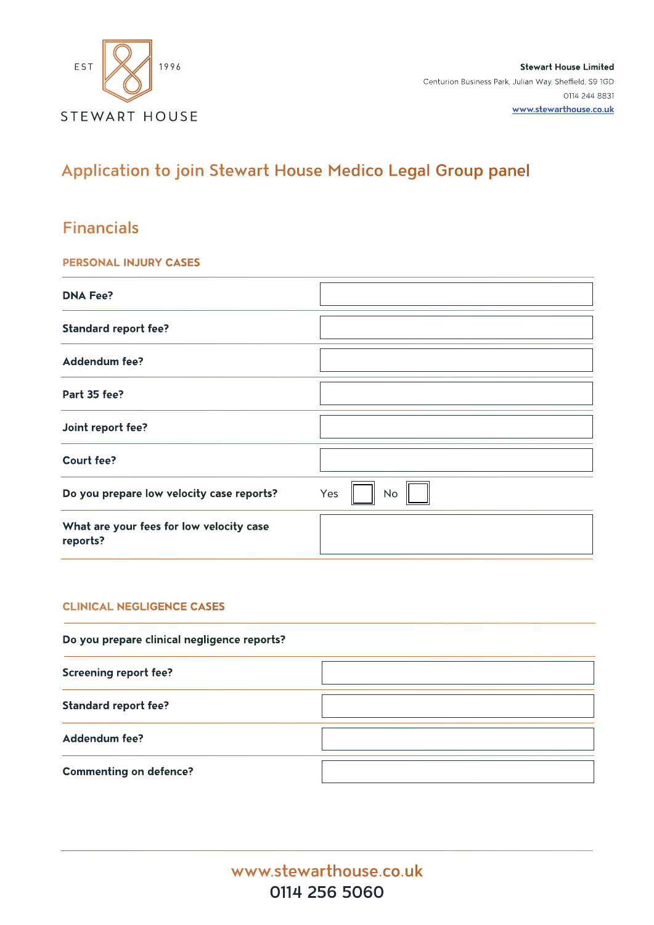

**Stewart House Limited** Centurion Business Park, Julian Way, Sheffield, S9 1GD 0114 244 8831 **www.stewarthouse.co.uk**

## Application to join Stewart House Medico Legal Group panel

### Financials

#### **PERSONAL INJURY CASES**

| <b>DNA Fee?</b>                                      |                  |
|------------------------------------------------------|------------------|
| <b>Standard report fee?</b>                          |                  |
| <b>Addendum fee?</b>                                 |                  |
| Part 35 fee?                                         |                  |
| Joint report fee?                                    |                  |
| <b>Court fee?</b>                                    |                  |
| Do you prepare low velocity case reports?            | Yes<br><b>No</b> |
| What are your fees for low velocity case<br>reports? |                  |

#### **CLINICAL NEGLIGENCE CASES**

| Do you prepare clinical negligence reports? |  |  |  |
|---------------------------------------------|--|--|--|
| <b>Screening report fee?</b>                |  |  |  |
| <b>Standard report fee?</b>                 |  |  |  |
| Addendum fee?                               |  |  |  |
| <b>Commenting on defence?</b>               |  |  |  |

www.stewarthouse.co.uk 0114 256 5060